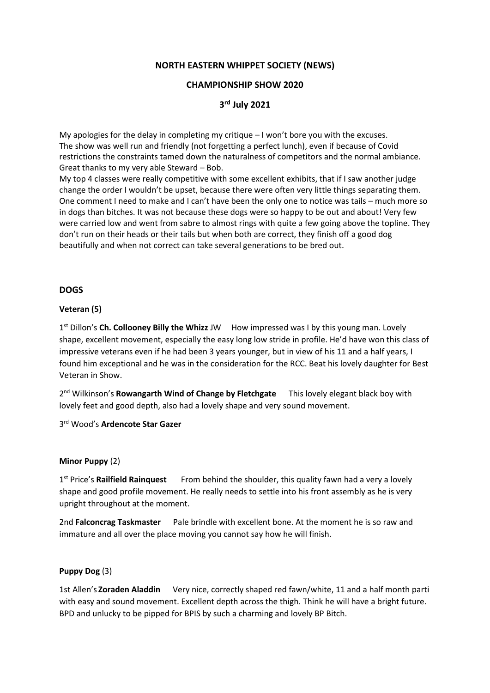### **NORTH EASTERN WHIPPET SOCIETY (NEWS)**

### **CHAMPIONSHIP SHOW 2020**

# **3 rd July 2021**

My apologies for the delay in completing my critique  $-1$  won't bore you with the excuses. The show was well run and friendly (not forgetting a perfect lunch), even if because of Covid restrictions the constraints tamed down the naturalness of competitors and the normal ambiance. Great thanks to my very able Steward – Bob.

My top 4 classes were really competitive with some excellent exhibits, that if I saw another judge change the order I wouldn't be upset, because there were often very little things separating them. One comment I need to make and I can't have been the only one to notice was tails – much more so in dogs than bitches. It was not because these dogs were so happy to be out and about! Very few were carried low and went from sabre to almost rings with quite a few going above the topline. They don't run on their heads or their tails but when both are correct, they finish off a good dog beautifully and when not correct can take several generations to be bred out.

## **DOGS**

### **Veteran (5)**

1<sup>st</sup> Dillon's **Ch. Collooney Billy the Whizz** JW How impressed was I by this young man. Lovely shape, excellent movement, especially the easy long low stride in profile. He'd have won this class of impressive veterans even if he had been 3 years younger, but in view of his 11 and a half years, I found him exceptional and he was in the consideration for the RCC. Beat his lovely daughter for Best Veteran in Show.

2<sup>nd</sup> Wilkinson's Rowangarth Wind of Change by Fletchgate This lovely elegant black boy with lovely feet and good depth, also had a lovely shape and very sound movement.

3 rd Wood's **Ardencote Star Gazer**

### **Minor Puppy** (2)

1<sup>st</sup> Price's Railfield Rainquest From behind the shoulder, this quality fawn had a very a lovely shape and good profile movement. He really needs to settle into his front assembly as he is very upright throughout at the moment.

2nd **Falconcrag Taskmaster** Pale brindle with excellent bone. At the moment he is so raw and immature and all over the place moving you cannot say how he will finish.

### **Puppy Dog** (3)

1st Allen's **Zoraden Aladdin** Very nice, correctly shaped red fawn/white, 11 and a half month parti with easy and sound movement. Excellent depth across the thigh. Think he will have a bright future. BPD and unlucky to be pipped for BPIS by such a charming and lovely BP Bitch.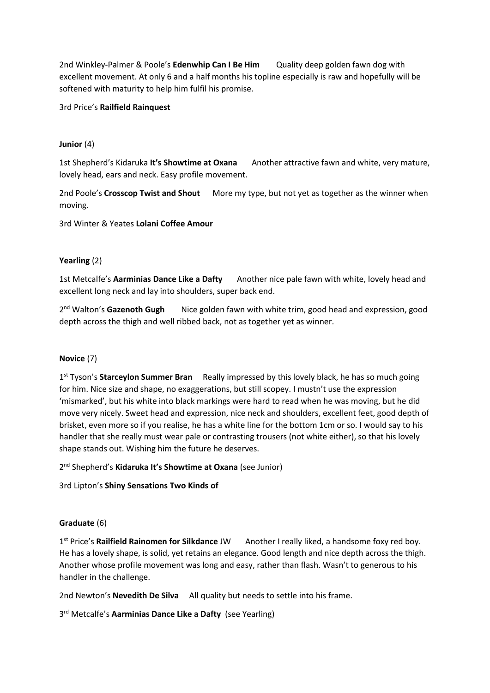2nd Winkley-Palmer & Poole's **Edenwhip Can I Be Him** Quality deep golden fawn dog with excellent movement. At only 6 and a half months his topline especially is raw and hopefully will be softened with maturity to help him fulfil his promise.

3rd Price's **Railfield Rainquest**

## **Junior** (4)

1st Shepherd's Kidaruka **It's Showtime at Oxana** Another attractive fawn and white, very mature, lovely head, ears and neck. Easy profile movement.

2nd Poole's **Crosscop Twist and Shout** More my type, but not yet as together as the winner when moving.

3rd Winter & Yeates **Lolani Coffee Amour**

### **Yearling** (2)

1st Metcalfe's **Aarminias Dance Like a Dafty** Another nice pale fawn with white, lovely head and excellent long neck and lay into shoulders, super back end.

2<sup>nd</sup> Walton's Gazenoth Gugh Nice golden fawn with white trim, good head and expression, good depth across the thigh and well ribbed back, not as together yet as winner.

### **Novice** (7)

1<sup>st</sup> Tyson's Starceylon Summer Bran Really impressed by this lovely black, he has so much going for him. Nice size and shape, no exaggerations, but still scopey. I mustn't use the expression 'mismarked', but his white into black markings were hard to read when he was moving, but he did move very nicely. Sweet head and expression, nice neck and shoulders, excellent feet, good depth of brisket, even more so if you realise, he has a white line for the bottom 1cm or so. I would say to his handler that she really must wear pale or contrasting trousers (not white either), so that his lovely shape stands out. Wishing him the future he deserves.

2 nd Shepherd's **Kidaruka It's Showtime at Oxana** (see Junior)

3rd Lipton's **Shiny Sensations Two Kinds of** 

## **Graduate** (6)

1st Price's Railfield Rainomen for Silkdance JW Another I really liked, a handsome foxy red boy. He has a lovely shape, is solid, yet retains an elegance. Good length and nice depth across the thigh. Another whose profile movement was long and easy, rather than flash. Wasn't to generous to his handler in the challenge.

2nd Newton's **Nevedith De Silva** All quality but needs to settle into his frame.

3 rd Metcalfe's **Aarminias Dance Like a Dafty** (see Yearling)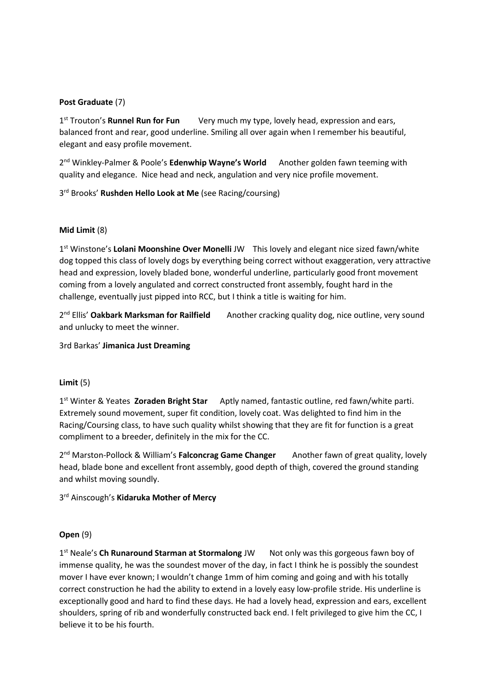## **Post Graduate** (7)

1st Trouton's Runnel Run for Fun Very much my type, lovely head, expression and ears, balanced front and rear, good underline. Smiling all over again when I remember his beautiful, elegant and easy profile movement.

2<sup>nd</sup> Winkley-Palmer & Poole's Edenwhip Wayne's World Another golden fawn teeming with quality and elegance. Nice head and neck, angulation and very nice profile movement.

3<sup>rd</sup> Brooks' Rushden Hello Look at Me (see Racing/coursing)

### **Mid Limit** (8)

1<sup>st</sup> Winstone's Lolani Moonshine Over Monelli JW This lovely and elegant nice sized fawn/white dog topped this class of lovely dogs by everything being correct without exaggeration, very attractive head and expression, lovely bladed bone, wonderful underline, particularly good front movement coming from a lovely angulated and correct constructed front assembly, fought hard in the challenge, eventually just pipped into RCC, but I think a title is waiting for him.

2<sup>nd</sup> Ellis' Oakbark Marksman for Railfield Another cracking quality dog, nice outline, very sound and unlucky to meet the winner.

3rd Barkas' **Jimanica Just Dreaming**

### **Limit** (5)

1 st Winter & Yeates **Zoraden Bright Star** Aptly named, fantastic outline, red fawn/white parti. Extremely sound movement, super fit condition, lovely coat. Was delighted to find him in the Racing/Coursing class, to have such quality whilst showing that they are fit for function is a great compliment to a breeder, definitely in the mix for the CC.

2<sup>nd</sup> Marston-Pollock & William's **Falconcrag Game Changer** Another fawn of great quality, lovely head, blade bone and excellent front assembly, good depth of thigh, covered the ground standing and whilst moving soundly.

3 rd Ainscough's **Kidaruka Mother of Mercy**

### **Open** (9)

1<sup>st</sup> Neale's Ch Runaround Starman at Stormalong JW Not only was this gorgeous fawn boy of immense quality, he was the soundest mover of the day, in fact I think he is possibly the soundest mover I have ever known; I wouldn't change 1mm of him coming and going and with his totally correct construction he had the ability to extend in a lovely easy low-profile stride. His underline is exceptionally good and hard to find these days. He had a lovely head, expression and ears, excellent shoulders, spring of rib and wonderfully constructed back end. I felt privileged to give him the CC, I believe it to be his fourth.